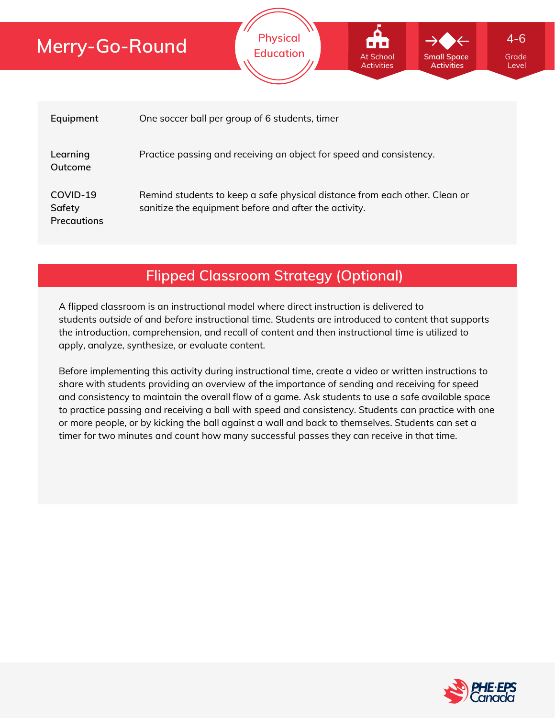| Equipment                                | One soccer ball per group of 6 students, timer                                                                                      |
|------------------------------------------|-------------------------------------------------------------------------------------------------------------------------------------|
| Learning<br>Outcome                      | Practice passing and receiving an object for speed and consistency.                                                                 |
| COVID-19<br>Safety<br><b>Precautions</b> | Remind students to keep a safe physical distance from each other. Clean or<br>sanitize the equipment before and after the activity. |

**Physical**

**Education** At School At Small Space Grade

At School Activities **Small Space Activities**

Level

4-6

**Flipped Classroom Strategy (Optional)**

A flipped classroom is an instructional model where direct instruction is delivered to students *outside of* and *before* instructional time. Students are introduced to content that supports the introduction, comprehension, and recall of content and then instructional time is utilized to apply, analyze, synthesize, or evaluate content.

Before implementing this activity during instructional time, create a video or written instructions to share with students providing an overview of the importance of sending and receiving for speed and consistency to maintain the overall flow of a game. Ask students to use a safe available space to practice passing and receiving a ball with speed and consistency. Students can practice with one or more people, or by kicking the ball against a wall and back to themselves. Students can set a timer for two minutes and count how many successful passes they can receive in that time.

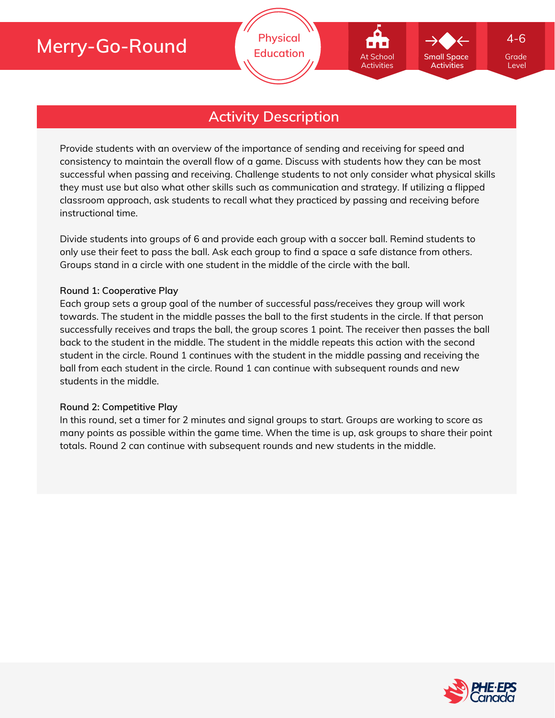

## **Activity Description**

Provide students with an overview of the importance of sending and receiving for speed and consistency to maintain the overall flow of a game. Discuss with students how they can be most successful when passing and receiving. Challenge students to not only consider what physical skills they must use but also what other skills such as communication and strategy. If utilizing a flipped classroom approach, ask students to recall what they practiced by passing and receiving before instructional time.

Divide students into groups of 6 and provide each group with a soccer ball. Remind students to only use their feet to pass the ball. Ask each group to find a space a safe distance from others. Groups stand in a circle with one student in the middle of the circle with the ball.

#### **Round 1: Cooperative Play**

Each group sets a group goal of the number of successful pass/receives they group will work towards. The student in the middle passes the ball to the first students in the circle. If that person successfully receives and traps the ball, the group scores 1 point. The receiver then passes the ball back to the student in the middle. The student in the middle repeats this action with the second student in the circle. Round 1 continues with the student in the middle passing and receiving the ball from each student in the circle. Round 1 can continue with subsequent rounds and new students in the middle.

#### **Round 2: Competitive Play**

In this round, set a timer for 2 minutes and signal groups to start. Groups are working to score as many points as possible within the game time. When the time is up, ask groups to share their point totals. Round 2 can continue with subsequent rounds and new students in the middle.

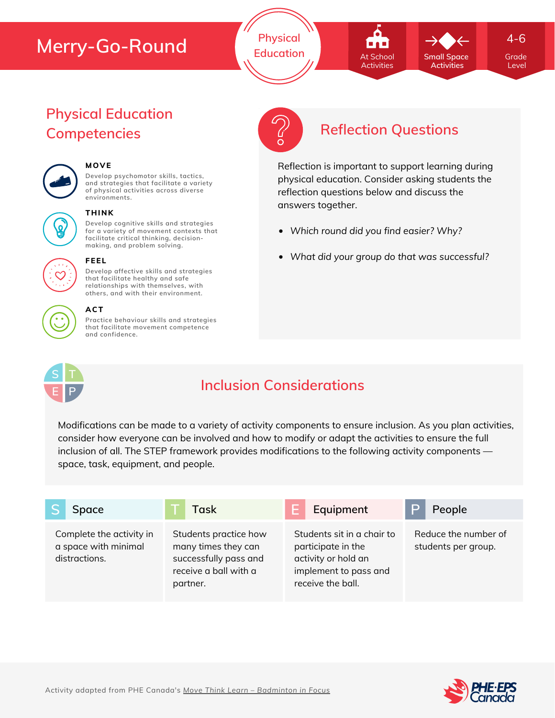**Physical Education Grade** At School **Grade** Small Space Grade At School Activities

4-6

Level

# **Physical Education**



## **MOVE**

**Develop psychomotor skills, tactics, and strategies that facilitate a variety of physical activities across diverse environments.**



#### **THINK**

**Develop cognitive skills and strategies for a variety of movement contexts that facilitate critical thinking, decision making, and problem solving.**



## **Develop affective skills and strategies**

**FEEL**

**that facilitate healthy and safe relationships with themselves, with others, and with their environment.**

#### **ACT**

**Practice behaviour skills and strategies that facilitate movement competence and confidence.**



# **Competencies Reflection Questions**

**Small Space Activities**

Reflection is important to support learning during physical education. Consider asking students the reflection questions below and discuss the answers together.

- *Which round did you find easier? Why?*
- *What did your group do that was successful?*



## **Inclusion Considerations**

Modifications can be made to a variety of activity components to ensure inclusion. As you plan activities, consider how everyone can be involved and how to modify or adapt the activities to ensure the full inclusion of all. The STEP framework provides modifications to the following activity components space, task, equipment, and people.